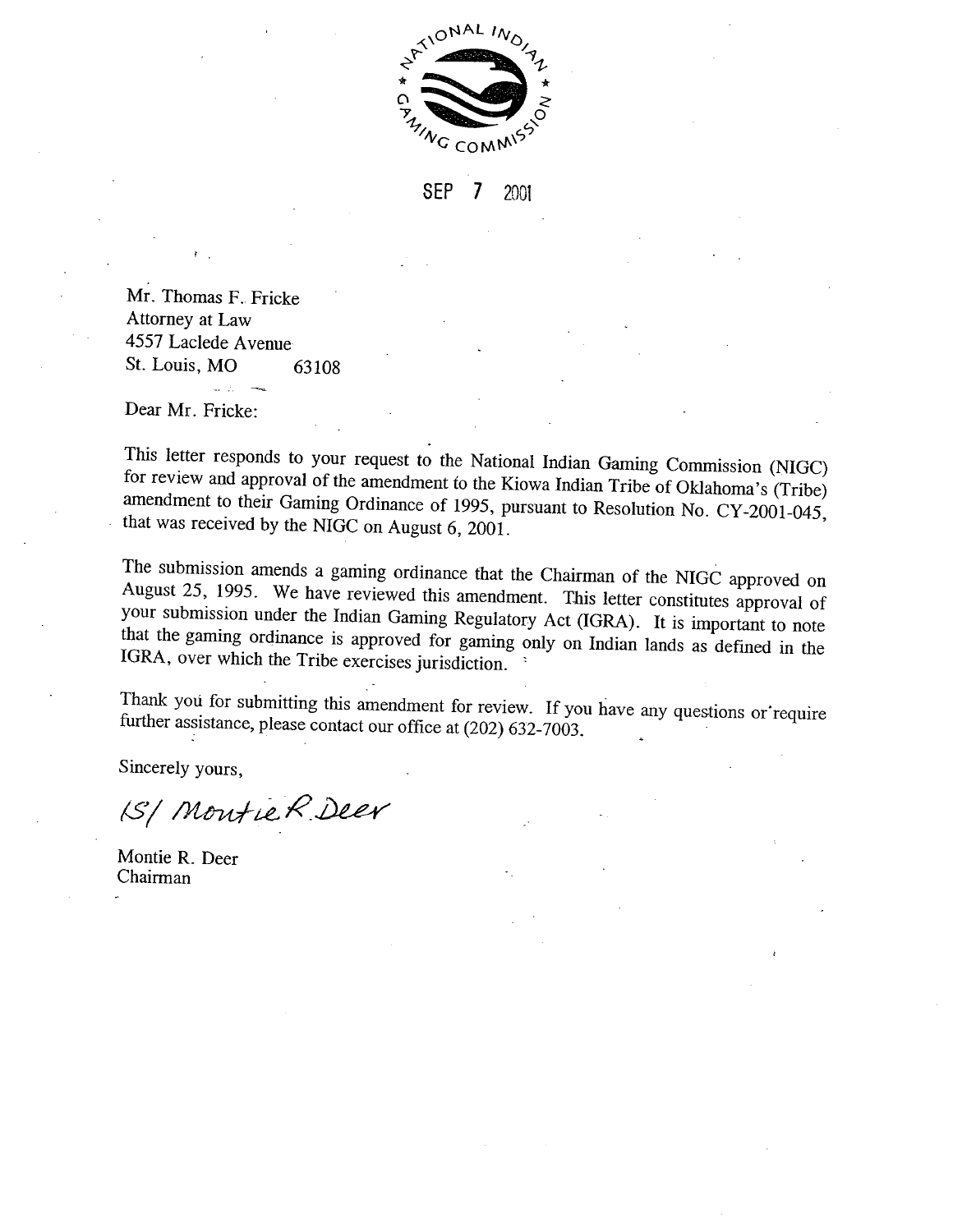

**SEP** 7 2001

Mr. Thomas F. Fricke Attorney at Law 4557 Laclede Avenue St. Louis, MO 63108

Dear Mr. Fricke:

This letter responds to your request to the National Indian Gaming Commission (NIGC) for review and approval of the amendment to the Kiowa Indian Tribe of Oklahoma's (Tribe) amendment to their Gaming Ordinance of 1995, pursuant to Resolution No. CY-2001-045, that was received by the NIGC on August 6, 2001.

The submission amends a gaming ordinance that the Chairman of the NIGC approved on August 25, 1995. We have reviewed this amendment. This letter constitutes approval of your submission under the Indian Gaming Regulatory Act (IGRA). It is important to note that the gaming ordinance is approved for gaming only on Indian lands as defined in the IGRA, over which the Tribe exercises jurisdiction.

Thank you for submitting this amendment for review. If you have any questions or require further assistance, please contact our office at (202) 632-7003.

Sincerely yours,

1S/ Montie R Deer

Montie R. Deer Chairman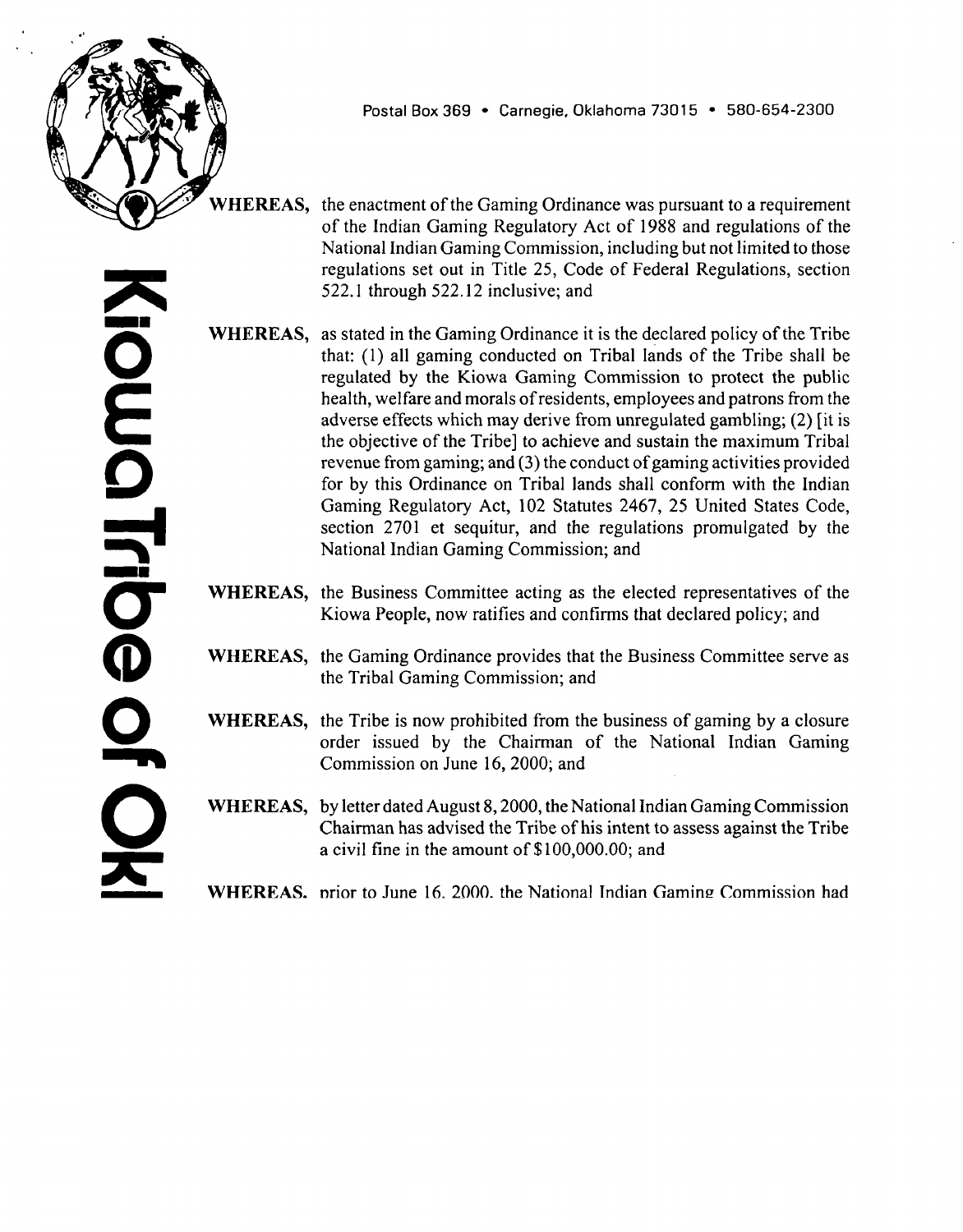

**Postal Box 369 Carnegie, Oklahoma 73015 580-654-2300 AUG 6 7flfl~**

**RESOLUTION NO. CY -2001- <sup>045</sup>**

## Y.

#### **RESOLUTION**

#### **RESOLUTION OF THE KIOWA BUSINESS COMMITTEE AMENDING THE GAMING ORDINANCE OF <sup>1995</sup> TO COMPLY WITH NATIONAL INDIAN GAMING COMMISSION BULLETIN NO. 99-3, AND FOR OTHER PURPOSES.**

**WHEREAS, the Kiowa Indian Tribe of Oklahoma (the Tribe) is <sup>a</sup> sovereign nation and from time immemorial has been <sup>a</sup> sovereign nation; and**

**the Tribe is federally recognized by the Secretary of Interior of the WHEREAS, United States as having powers of self government and as eligible for the special programs and services provided by the United States to Indians because of their status as Indians, and its sovereignty is thereby recognized by the United States, all as evidenced by order of the Associate Commissioner of Indian Affairs, dated March 13, 1970, approving the constitution and bylaws of the Tribe; and**

**pursuant to that constitution and bylaws, specifically Article V, section WHEREAS, 2, the Kiowa People have delegated to their elected representatives, the Business Committee, the responsibility and authority to take all necessary action to (i) promulgate and enforce ordinances and codes to protect the general welfare of the Tribe and its members and (ii) develop, negotiate and approve, economic, industrial and commercial enterprises on Tribal land; and**

**by resolutions no. CY-95-39 and CY-95-40, both dated June 26, 1995, WHEREAS, the Business Committee, acting pursuant to the aforesaid power, enacted <sup>a</sup> resolution to approve and adopt the Kiowa Indian Tribe of Oklahoma Gaming Ordinance of 1995 and the Kiowa Indian Tribe of Oklahoma Gaming** Facility Bonding Ordinance of 1995 (together, the "Gaming **Ordinance) and to repeal all prior gaming ordinances; and** develop, negotiate and apprecidency interprises on Tribal land; a<br>the Business Committee, action of the Business Committee, action of approvement of a Gaming Ordinance of 1995<br>Gaming Facility Bonding C<br>Ordinance") and to r

**WHEREAS, by separate resolution, the Business Committee has repealed and revoked the amendment to the Gaming Ordinance set out in Resolution No. CY-2001-025; and**

**WHEREAS, as is required under federal law, the Gaming ordinance was subsequently approved by the Chairman of the National Indian Gaming Commission; and**

**0 E 0 5 0~ CD 0**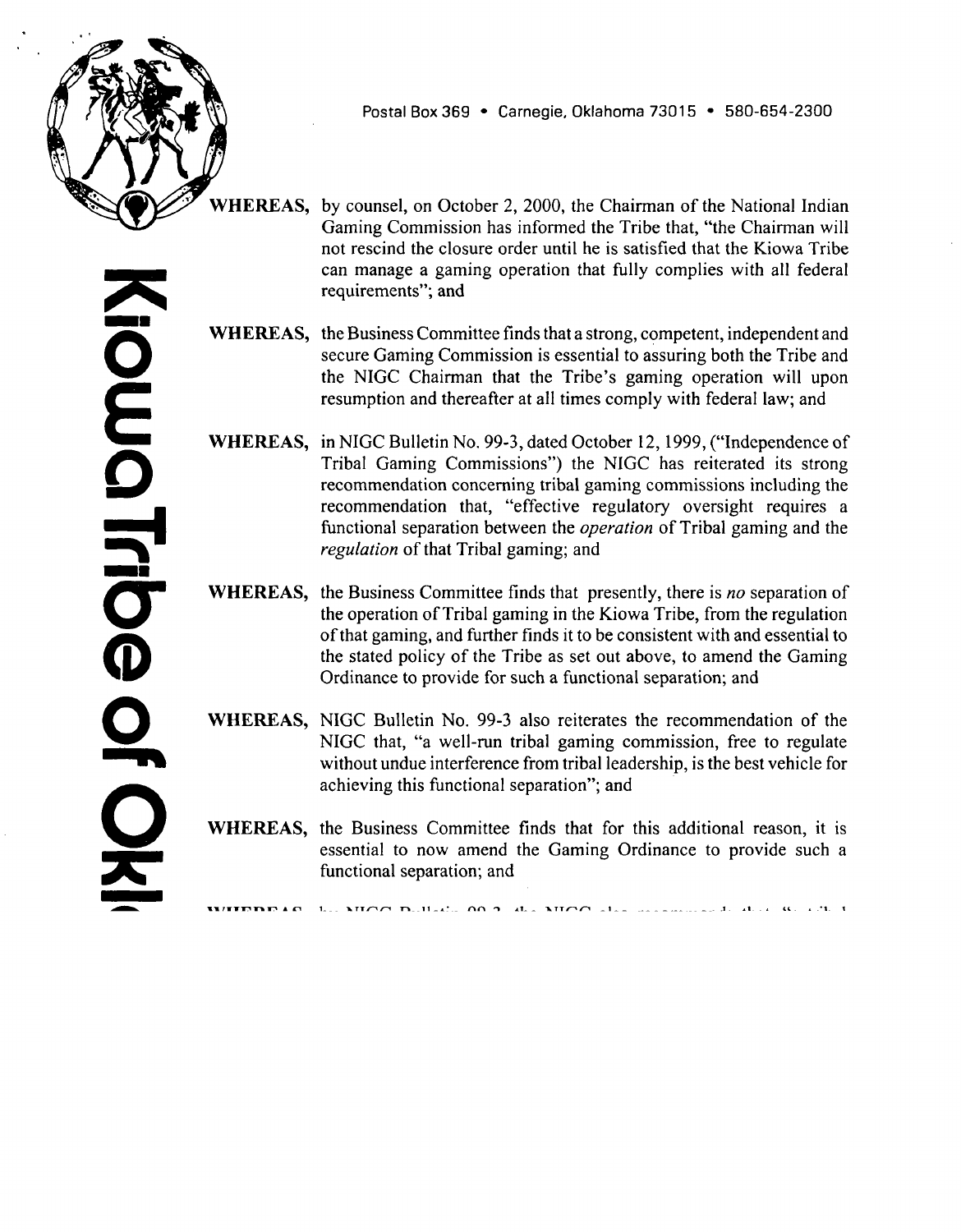

**WHEREAS, the enactment of the Gaming Ordinance was pursuant to <sup>a</sup> requirement of the Indian Gaming Regulatory Act of 1988 and regulations of the National Indian Gaming Commission, including but not limited to those regulations set out in Title 25, Code of Federal Regulations, section 522.1 through 522.12 inclusive; and**

**WHEREAS, as stated in the Gaming Ordinance it is the declared policy of the Tribe that: (1) all gaming conducted on Tribal lands of the Tribe shall be regulated by the Kiowa Gaming Commission to protect the public health, welfare and morals of residents, employees and patrons from the adverse effects which may derive from unregulated gambling; (2) it is the objective of the Tribe] to achieve and sustain the maximum Tribal revenue from gaming; and (3) the conduct of gaming activities provided for by this Ordinance on Tribal lands shall conform with the Indian Gaming Regulatory Act, 102 Statutes 2467, 25 United States Code, section 2701 et sequitur, and the regulations promulgated by the National Indian Gaming Commission; and**

- **WHEREAS, the Business Committee acting as the elected representatives of the Kiowa People, now ratifies and confirms that declared policy; and**
- **WHEREAS, the Gaming Ordinance provides that the Business Committee serve as the Tribal Gaming Commission; and**
- **WHEREAS, the Tribe is now prohibited from the business of gaming by <sup>a</sup> closure order issued by the Chairman of the National Indian Gaming Commission on June 16, 2000; and**
- **WHEREAS, by letter dated August 8, 2000, the National Indian Gaming Commission Chairman has advised the Tribe of his intent to assess against the Tribe a civil fine in the amount of S 100,000.00; and**
- **WHEREAS, prior to June 16, 2000, the National Indian Gaming Commission had issued to the Tribe several notices of violation including but not limited to those dated July 8, 1999 for operation of allegedly illegal gaming equipment, January 19, 2000 for allegedly failing to submit to the NIGC several years worth of audits, annual fee payments and employee background investigation reports; and**
- **WHEREAS, the Tribe has appealed the closure order, notice of violation and proposed civil fine assessment, to the Department of Interior, Office of Hearings** and Appeals, and the Tribe's appeals are now pending; and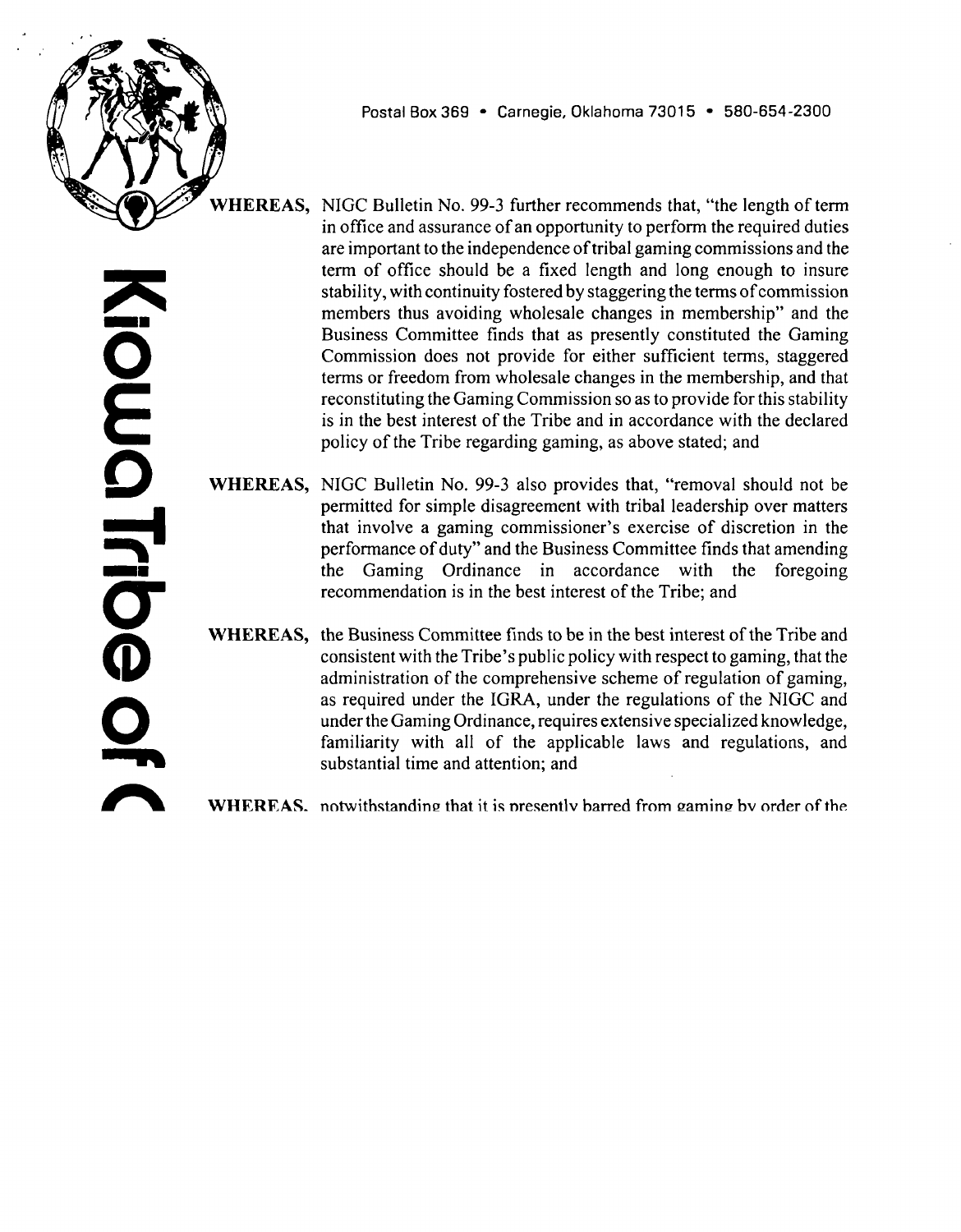

**Postal Box 369 Carnegie, Oklahoma 73015 580-654-2300**

- **WHEREAS, by counsel, on October 2, 2000, the Chairman of the National Indian Gaming Commission has informed the Tribe that, the Chairman will not rescind the closure order until he is satisfied that the Kiowa Tribe can manage <sup>a</sup> gaming operation that fully complies with all federal requirements; and**
- **WHEREAS, the Business Committee finds that <sup>a</sup> strong, competent, independent and secure Gaming Commission is essential to assuring both the Tribe and the** NIGC Chairman that the Tribe's gaming operation will upon **resumption and thereafter at all times comply with federal law; and**
- **WHEREAS, in NIGC Bulletin No. 99-3, dated October 12, 1999, (Independence of Tribal Gaming Commissions) the NIGC has reiterated its strong recommendation concerning tribal gaming commissions including the recommendation** that, "effective regulatory oversight requires a **functional separation between the operation of Tribal gaming and the regulation of that Tribal gaming; and**
- **WHEREAS, the Business Committee finds that presently, there is no separation of the operation of Tribal gaming in the Kiowa Tribe, from the regulation of that gaming, and further finds it to be consistent with and essential to the stated policy of the Tribe as set out above, to amend the Gaming Ordinance to provide for such a functional separation; and**
- **WHEREAS, NIGC Bulletin No. 99-3 also reiterates the recommendation of the NIGC that, a well-run tribal gaming commission, free to regulate without undue interference from tribal leadership, is the best vehicle for achieving this functional separation; and**
- **WHEREAS, the Business Committee finds that for this additional reason, it is essential to now amend the Gaming Ordinance to provide such <sup>a</sup> functional separation; and**
- **WHEREAS, by NIGC Bulletin 99-3, the NIGC also recommends that, a tribal government helps insure the independence of <sup>a</sup> tribal gaming commission by creating for it <sup>a</sup> permanent and stable source of funding and that the independence and integrity of the Tribal Gaming Commission is seriously threatened if the tribal council is able to withhold funding from it or if the level of funding is not sufficient for the Gaming Commission to perform its role; and**
- **WHEREAS, the Business Committee finds this to be <sup>a</sup> sound recommendation, consistent with the declared policies of the Tribe; and**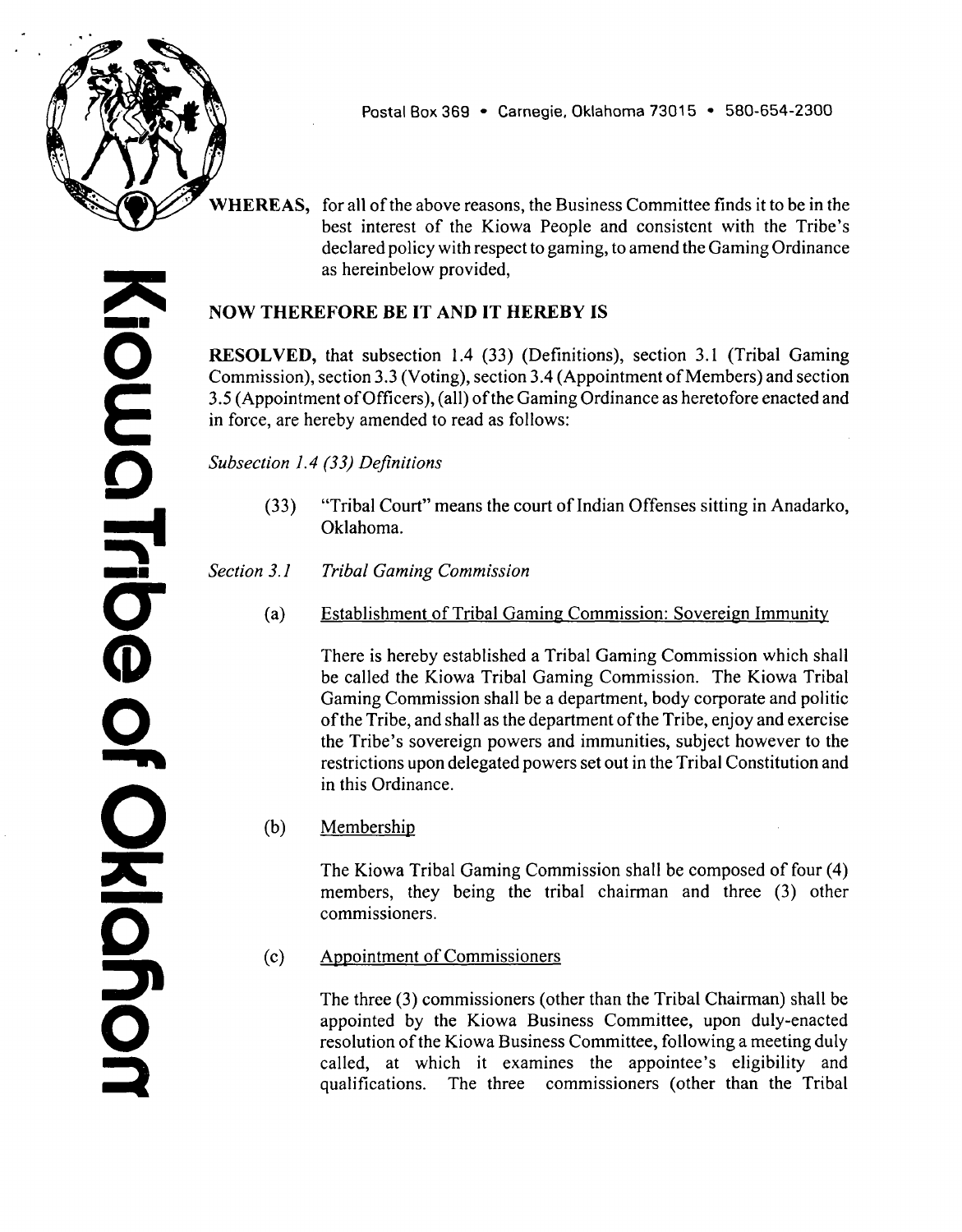

**WHEREAS, NIGC Bulletin No. 99-3 further recommends that, the length of term in office and assurance of an opportunity to perform the required duties are important to the independence of tribal gaming commissions and the term of office should be <sup>a</sup> fixed length and long enough to insure stability, with continuity fostered by staggering the terms ofcommission members thus avoiding wholesale changes in membership and the Business Committee finds that as presently constituted the Gaming Commission does not provide for either sufficient terms, staggered terms or freedom from wholesale changes in the membership, and that reconstituting the Gaming Commission so as to provide for this stability is in the best interest of the Tribe and in accordance with the declared policy of the Tribe regarding gaming, as above stated; and**

**WHEREAS, NJGC Bulletin No. 99-3 also provides that, removal should not be permitted for simple disagreement with tribal leadership over matters that** involve a gaming commissioner's exercise of discretion in the **performance of duty and the Business Committee finds that amending the Gaming Ordinance in accordance with the foregoing recommendation is in the best interest of the Tribe; and**

**WHEREAS, the Business Committee finds to be in the best interest of the Tribe and consistent** with the Tribe's public policy with respect to gaming, that the **administration of the comprehensive scheme of regulation of gaming, as required under the IGRA, under the regulations of the NIGC and under the Gaming Ordinance, requires extensive specialized knowledge, familiarity with all of the applicable laws and regulations, and substantial time and attention; and**

**WHEREAS, notwithstanding that it is presently barred from gaming by order of the NIGC Chairman, the Tribe possesses valuable land under itsjurisdiction that is ideally located to be developed as the site of a destination Indian gaming facility, and the Tribe has received serious inquiries from one or more businessmen who have expressed the desire to negotiate the investment of capital to develop that land for such <sup>a</sup> purpose; and**

- **WHEREAS, the Business Committee finds that if so developed, <sup>a</sup> Tribal gaming operation, managed by <sup>a</sup> competent and professional management contractor approved by the National Indian Gaming Commission, could yield to the Tribe, economic benefits from gaming; and**
- **WHEREAS, the Business Committee further finds that the Kiowa People will be better served to staff the Gaming Commission with members of the Tribe who are qualified by training or experience to manage and conduct the details of tribal gaming development and regulation; and**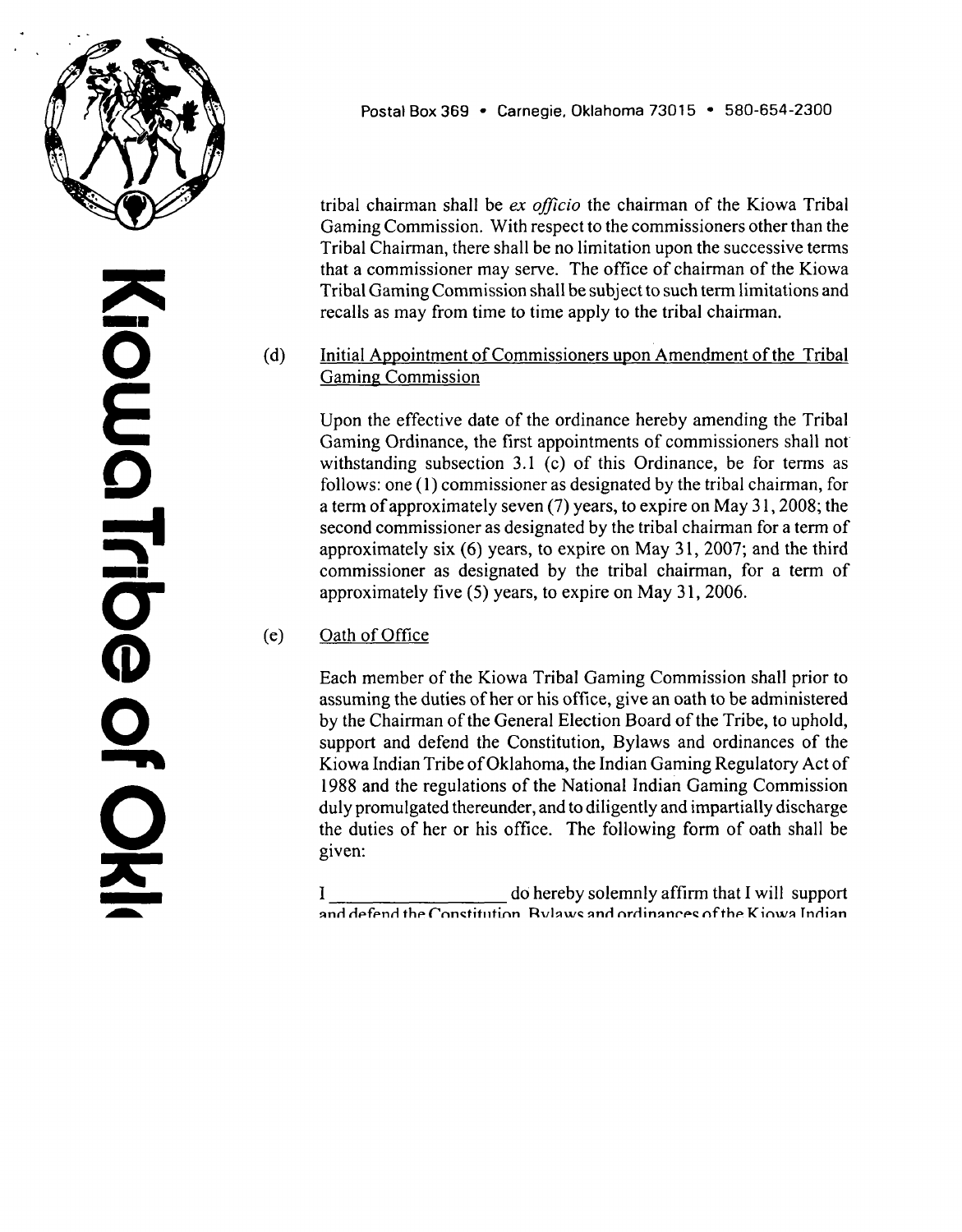

**Postal Box 369 Carnegie, Oklahoma 73015 580-654-2300**

**WHEREAS, for all of the above reasons, the Business Committee finds it to be in the best interest of the Kiowa People and consistent with the Tribe's declared policy with respect to gaming, to amend the Gaming Ordinance as hereinbelow provided,**

## **NOW THEREFORE BE IT AND IT HEREBY IS**

**RESOLVED, that subsection 1.4 (33) (Definitions), section 3.1 (Tribal Gaming Commission), section 3.3 (Voting), section 3.4 (Appointment of Members) and section 3.5 (Appointment ofOfficers), (all) of the Gaming Ordinance as heretofore enacted and in force, are hereby amended to read as follows:**

**Subsection 1.4 (33) Definitions**

- **(33) Tribal Court means the court of Indian Offenses sitting in Anadarko, Oklahoma.**
- **Section 3.1 Tribal Gaming Commission**
	- **(a) Establishment of Tribal Gaming Commission: Sovereign Immunity**

**There is hereby established <sup>a</sup> Tribal Gaming Commission which shall be called the Kiowa Tribal Gaming Commission. The Kiowa Tribal Gaming Commission shall be <sup>a</sup> department, body corporate and politic of the Tribe, and shall as the department of the Tribe, enjoy and exercise**  $t$ **he Tribe**'s sovereign powers and immunities, subject however to the **restrictions upon delegated powers set out in the Tribal Constitution and in this Ordinance.**

**(b) Membership**

**The Kiowa Tribal Gaming Commission shall be composed of four (4) members, they being the tribal chairman and three (3) other commissioners.**

**(c) Appointment of Commissioners**

**The three (3) commissioners (other than the Tribal Chairman) shall be appointed by the Kiowa Business Committee, upon duly-enacted resolution of the Kiowa Business Committee, following a meeting duly** called, at which it examines the appointee's eligibility and **qualifications. The three commissioners (other than the Tribal Chairman) shall serve for terms of office of five (5) years and thereafter until their respective successors are duly appointed and confirmed. The** The three (3) commissioner<br>appointed by the Kiowa<br>resolution of the Kiowa Bus<br>called, at which it exa<br>qualifications. The three<br>Chairman) shall serve for ter<br>until their respective success<br>GO A2-01 M7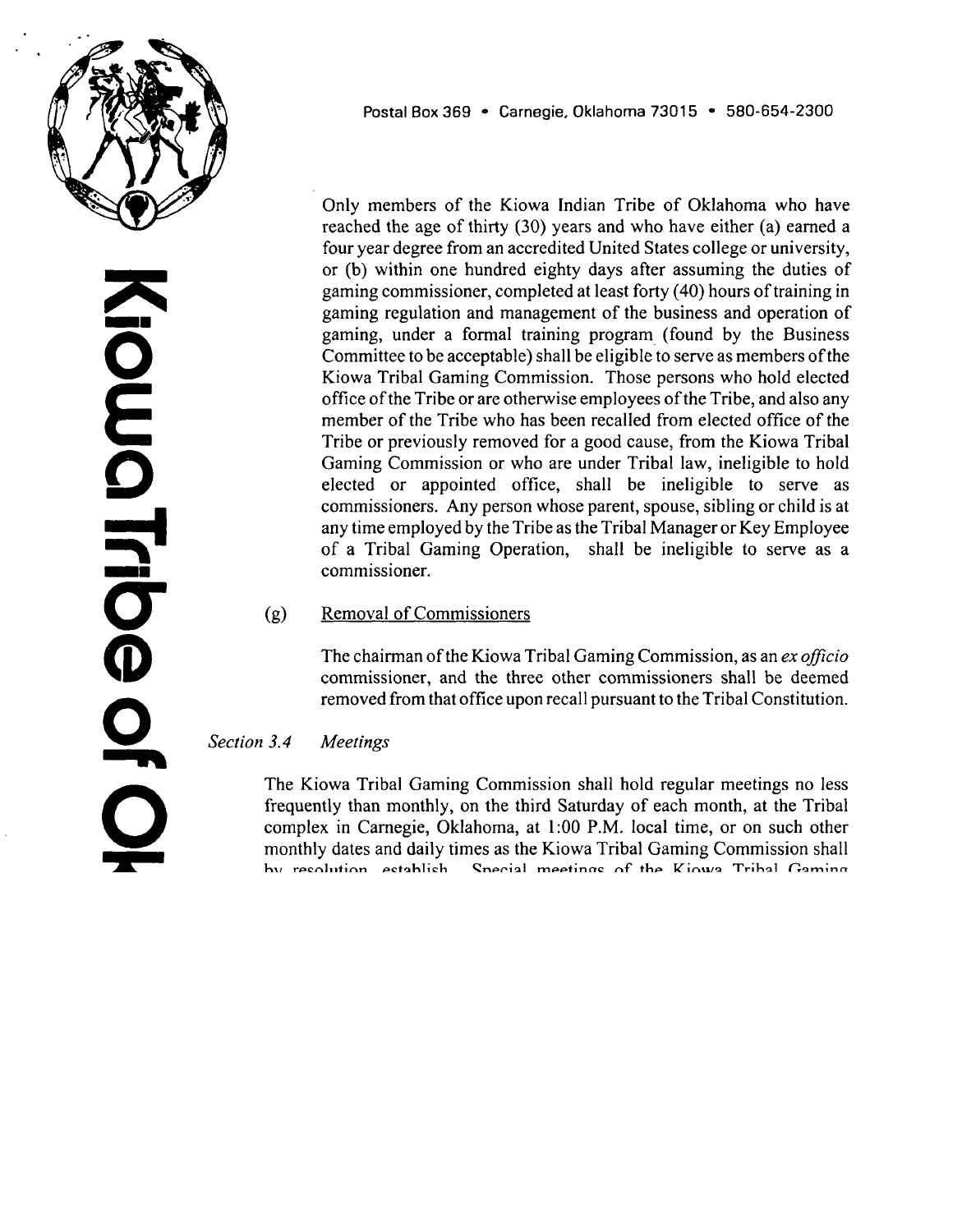

**tribal chairman shall be ex officio the chairman of the Kiowa Tribal Gaming Commission. With respect to the commissioners other than the Tribal Chairman, there shall be no limitation upon the successive terms that <sup>a</sup> commissioner may serve. The office of chairman of the Kiowa Tribal Gaming Commission shall be subject to such term limitations and recalls as may from time to time apply to the tribal chairman.**

#### **(d) Initial Appointment of Commissioners upon Amendment of the Tribal Gaming Commission**

**Upon the effective date of the ordinance hereby amending the Tribal Gaming Ordinance, the first appointments of commissioners shall not withstanding subsection 3.1 (c) of this Ordinance, be for terms as follows: one(l) commissioner as designated by the tribal chairman, for <sup>a</sup> term of approximately seven (7) years, to expire on May <sup>3</sup> 1, 2008; the second commissioner as designated by the tribal chairman for <sup>a</sup> term of approximately six (6) years, to expire on May 31, 2007; and the third commissioner as designated by the tribal chairman, for <sup>a</sup> term of approximately five (5) years, to expire on May 31, 2006.**

#### **(e) Oath of Office**

**Each member of the Kiowa Tribal Gaming Commission shall prior to assuming the duties of her or his office, give an oath to be administered by the Chairman of the General Election Board of the Tribe, to uphold, support and defend the Constitution, Bylaws and ordinances of the Kiowa Indian Tribe of Oklahoma, the Indian Gaming Regulatory Act of 1988 and the regulations of the National Indian Gaming Commission duly promulgated thereunder, and to diligently and impartially discharge the duties of her or his office. The following form of oath shall be given:**

**<sup>I</sup> \_\_\_\_\_\_\_\_\_\_\_\_\_\_\_\_\_\_\_\_ dO hereby solemnly affirm that <sup>I</sup> will support and defend the Constitution, Bylaws and ordinances ofthe Kiowa Indian Tribe of Oklahoma, the Indian Gaming Regulatory Act of 1988 and the regulations of the National Indian Gaming Commission duly promulgated thereunder, and will carry out faithfully and impartially the duties of my office to the best of my ability and will promote and protect the best interests of the Kiowa Indian Tribe in accordance with the tribal constitution and bylaws.**

**(0 Eligibility**

**o E 0 0 CD 0 IGO A2-O1 M7**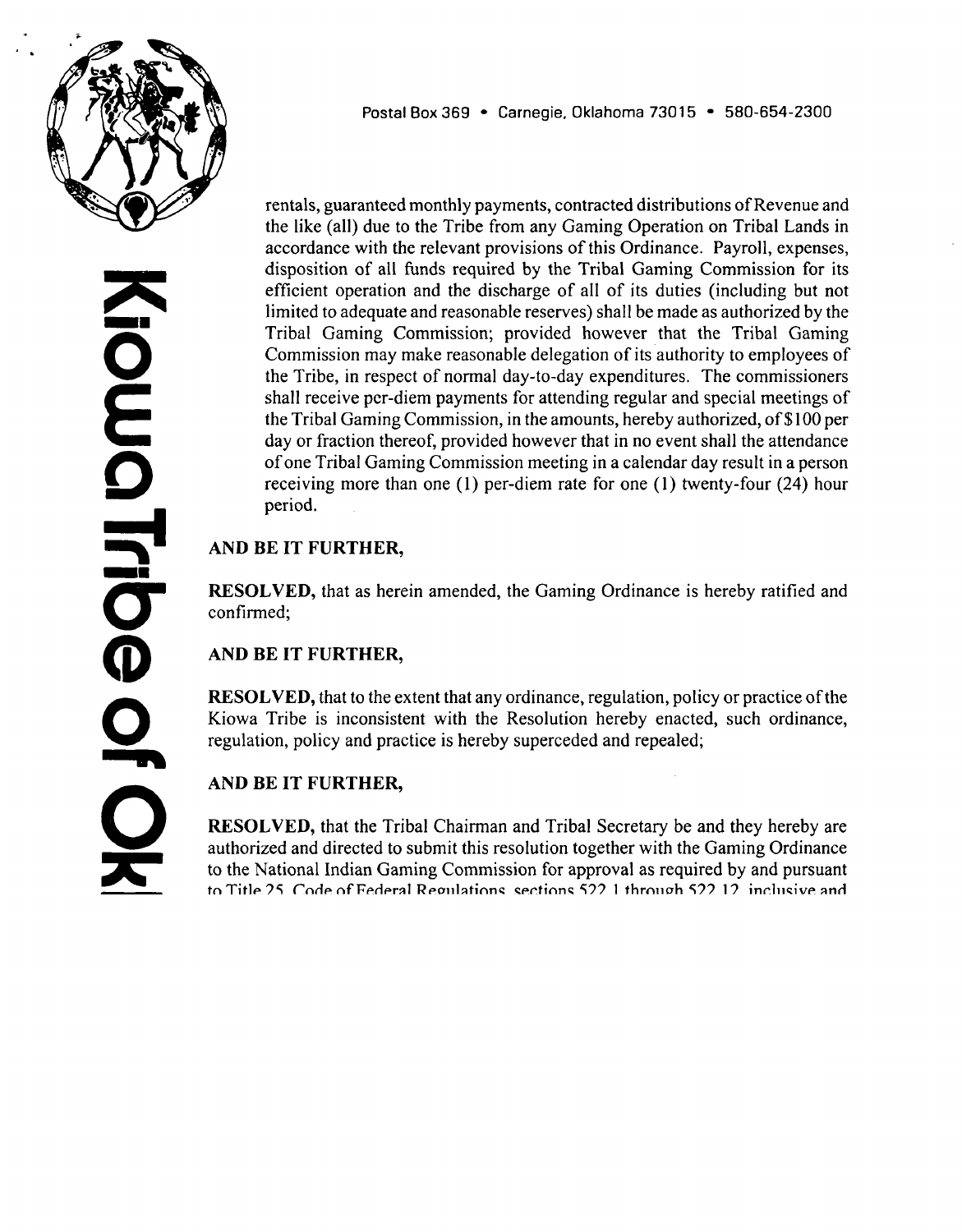

**Only members of the Kiowa Indian Tribe of Oklahoma who have reached the age of thirty (30) years and who have either (a) earned <sup>a</sup> four year degree from an accredited United States college or university, or (b) within one hundred eighty days after assuming the duties of gaming commissioner, completed at least forty (40) hours of training in gaming regulation and management of the business and operation of gaming, under <sup>a</sup> formal training program (found by the Business Committee to be acceptable) shall be eligible to serve as members of the Kiowa Tribal Gaming Commission. Those persons who hold elected office of the Tribe or are otherwise employees of the Tribe, and also any member of the Tribe who has been recalled from elected office of the Tribe or previously removed for <sup>a</sup> good cause, from the Kiowa Tribal Gaming Commission or who are under Tribal law, ineligible to hold elected or appointed office, shall be ineligible to serve as commissioners. Any person whose parent, spouse, sibling or child is at any time employed by the Tribe as the Tribal Manager or Key Employee of <sup>a</sup> Tribal Gaming Operation, shall be ineligible to serve as a commissioner.**

#### **(g) Removal of Commissioners**

**The chairman of the Kiowa Tribal Gaming Commission, as an ex officio commissioner, and the three other commissioners shall be deemed removed from that office upon recall pursuant to the Tribal Constitution.**

#### **Section 3.4 Meetings**

**The Kiowa Tribal Gaming Commission shall hold regular meetings no less frequently than monthly, on the third Saturday of each month, at the Tribal complex in Carnegie, Oklahoma, at 1:00 P.M. local time, or on such other monthly dates and daily times as the Kiowa Tribal Gaming Commission shall by resolution, establish. Special meetings of the Kiowa Tribal Gaming Commission may be called by the Tribal Chairman or jointly by any two other commissioners. Written notice of all such meetings shall be given to each commissioner, in accordance with the laws of the Tribe.**

### **Section 3.5 Officers**

**Officers of the Kiowa Tribal Gaming Commission shall be the Chairman, <sup>a</sup> Vice Chairman, and <sup>a</sup> Secretary. The Chairman of the Kiowa Tribal Gaming Commission shall preside at all meetings of the Tribal Gaming Commission. She or he shall have general supervision of the affairs of the Tribal Gaming Commission and shall perform all duties pertaining to the office of the Chairman. The Chairman shall designate the Vice Chairman and Secretary;**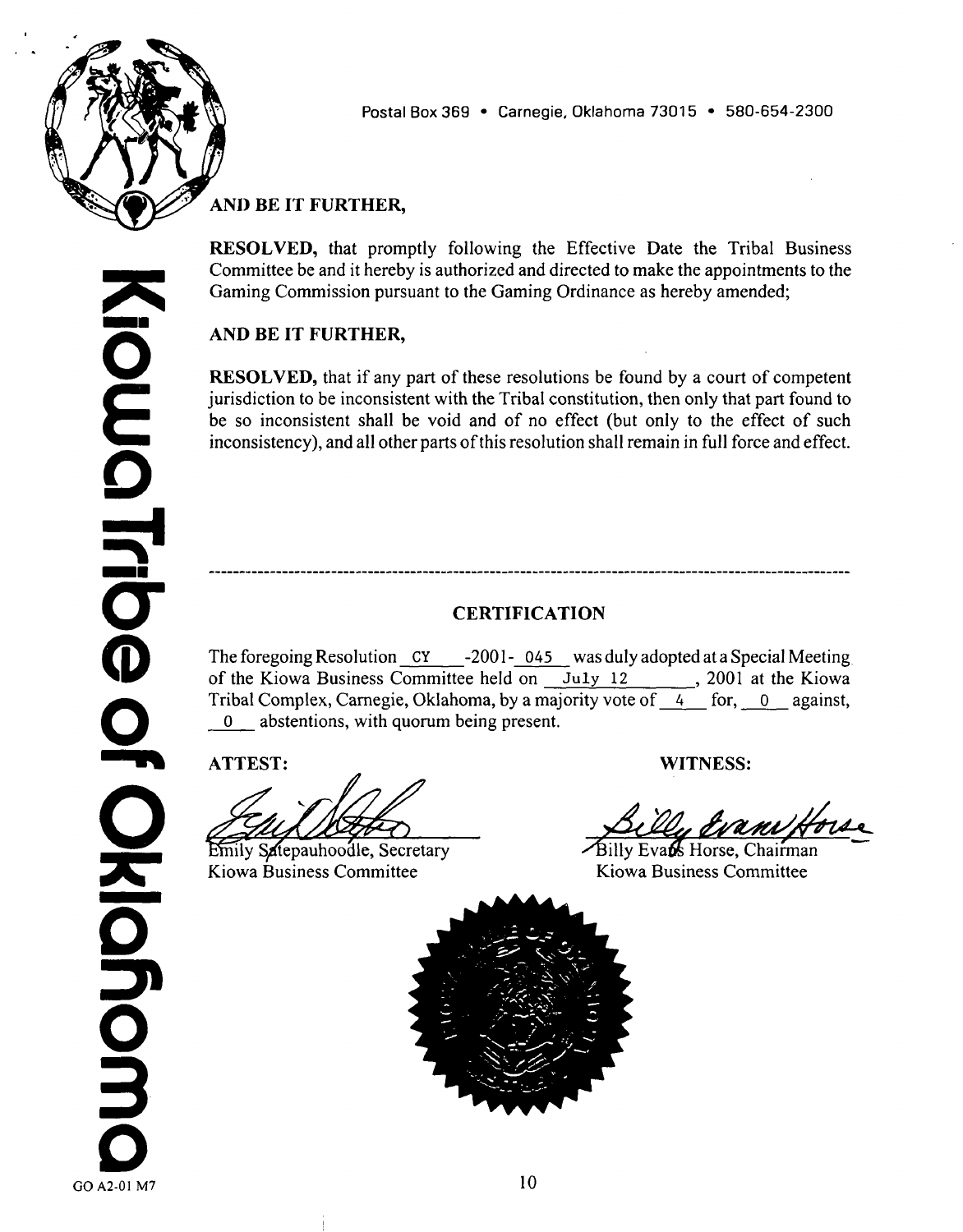

**0 E 0 5 0 CD 0 ISO A2-O1 M7**  **Postal Box 369 Carnegie, Oklahoma 73015 580-654-2300**

**provided however that no commissioner shall hold more than one of these offices. The Chairman shall upon approval of the Tribal Gaming Commission, be the official spokesperson for the Kiowa Tribal Gaming Commission and shall enjoy the standing authorization and instructed authority of the Business Committee, (hereby granted and hereby made revocable only by consent of the National Indian Gaming Commission) to present and discuss all tribal matters related to gaming, to andlor with members of the press and officials of the National Indian Gaming Commission in Washington, D.C., either personally, by Gaming Commission General Counsel, or by such other attorneys or representatives as the Chairman may from time to time designate by writing and entered into the minutes of the Kiowa Tribal Gaming Commission by resolution. The Chairman may delegate this role only to another commissioner, only revocably and only by written instrument. In the absence of the Chairman, the Vice Chairman will serve pro tempore as Chairman. The Secretary shall: (a) prepare and keep the minutes of all meetings of the Commission and all resolutions and regulations enacted by the Commission, in books provided for that purpose; (b) see that all notices required by this Ordinance to be given by the Kiowa Tribal Gaming Commission are duly given in accordance with the provisions of this Ordinance and as required by Tribal law; (c) be the custodian of** the Commission's records; (d) sign with the Chairman or Vice Chairman, **licenses and permits issued by the Commission, the issue of which shall have been authorized by resolution of the Tribal Gaming Commission; and (e) sign with the Chairman or Vice Chairman as attesting to the authenticity of their signatures and the due authorization of their acts, contracts and written agreements between the Tribe and others, related to gaming and entered into pursuant to the powers of the Tribal Gaming Commission granted to it under this Ordinance and to authorizing resolution of the Tribal Gaming Commission; and (f) keep in orderly archives, fully-executed counterparts of all written agreements concerning gaming to which the Tribe or any gaming specialpurpose tribal corporation, is <sup>a</sup> party; keep backup copies of all of the foregoing types of records of the Kiowa Tribal Gaming Commission in <sup>a</sup> secure place separate from the original records, in order to protect the Gaming Commission, the Business Committee and the Tribe from the peril of loss or destruction of such records; (g) turn over to her or his successor, in good order, all records of the Kiowa Tribal Gaming Commission of which the Secretary is custodian; and (h) in general, perform all duties incident to the office of Secretary. The Tribal Gaming Commission may designate the Director ofthe Kiowa Tax Commission to serve as treasurer/controller of the Tribal Gaming Commission and of all revenue of the Tribe derived from gaming, provided however that the Tribal Gaming Commission may from time to time designate or redesignate another suitable employee of the Tribe or <sup>a</sup> commissioner to serve in such capacity. The person from time to time serving as the designated treasurer/controller shall be responsible for the collection of all Gaming funds due the Tribe, including but not limited to Development Advances, application fees, license fees, lease**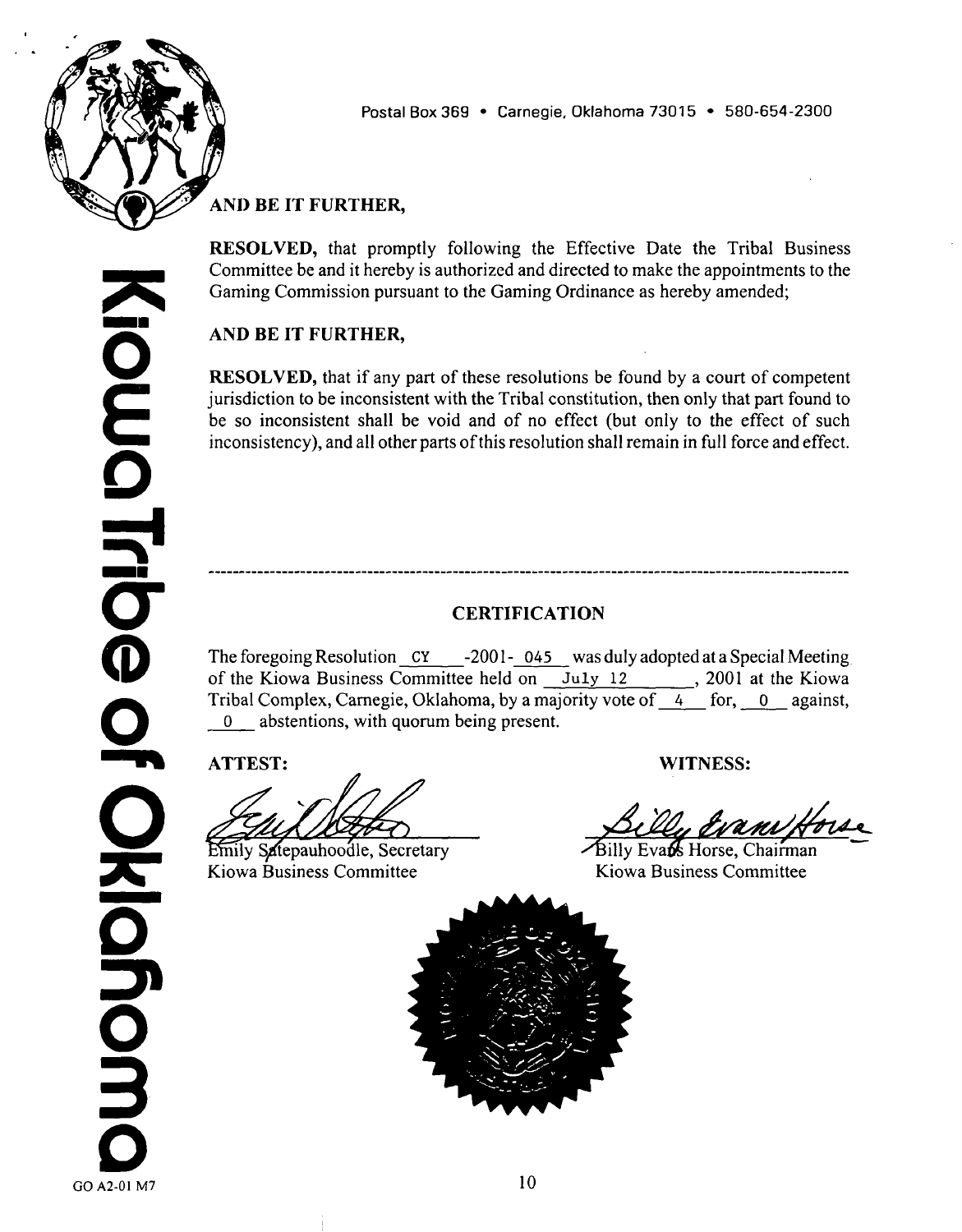

**rentals, guaranteed monthly payments, contracted distributions of Revenue and the like (all) due to the Tribe from any Gaming Operation on Tribal Lands in accordance with the relevant provisions of this Ordinance. Payroll, expenses, disposition of all funds required by the Tribal Gaming Commission for its efficient operation and the discharge of all of its duties (including but not limited to adequate and reasonable reserves) shall be made as authorized by the Tribal Gaming Commission; provided however that the Tribal Gaming Commission may make reasonable delegation of its authority to employees of the Tribe, in respect of normal day-to-day expenditures. The commissioners shall receive per-diem payments for attending regular and special meetings of the Tribal Gaming Commission, in the amounts, hereby authorized, of\$ 100 per day or fraction thereof, provided however that in no event shall the attendance of one Tribal Gaming Commission meeting in <sup>a</sup> calendar day result in <sup>a</sup> person receiving more than one (1) per-diem rate for one (1) twenty-four (24) hour period.**

# **AND BE IT FURTHER,**

**RESOLVED, that as herein amended, the Gaming Ordinance is hereby ratified and confirmed;**

# **AND BE IT FURTHER,**

**RESOLVED, that to the extent that any ordinance, regulation, policy or practice of the Kiowa Tribe is inconsistent with the Resolution hereby enacted, such ordinance, regulation, policy and practice is hereby superceded and repealed;**

# **AND BE IT FURTHER,**

**RESOLVED, that the Tribal Chairman and Tribal Secretary be and they hereby are authorized and directed to submit this resolution together with the Gaming Ordinance to the National Indian Gaming Commission for approval as required by and pursuant to Title 25, Code of Federal Regulations, sections 522.1 through 522.12, inclusive and to the Assistant Secretary For Indian Affairs or his authorized representative, pursuant to Article V, subsection 2 (g) of the Tribal Constitution;**

# **AND BE IT FURTHER,**

**RESOLVED, that the foregoing become effective on the date on which it is approved by the NIGC Chairman pursuant to those regulations and by the Assistant Secretary For Indian Affairs or his authorized representative, pursuant to Article V, subsection 2 (g) of the Tribal Constitution(the Effective Date);**

**9**